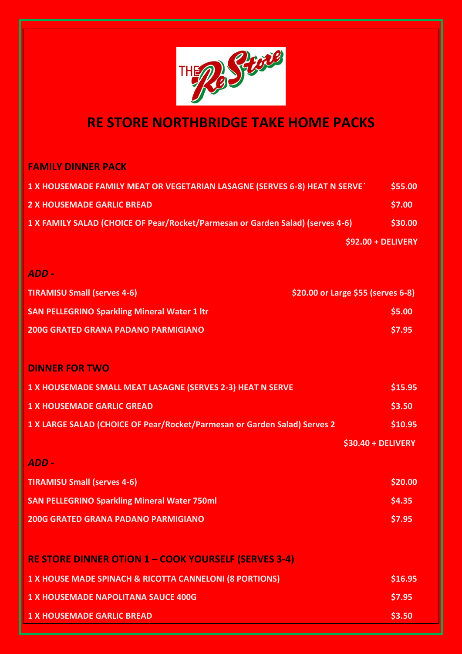

## **RE STORE NORTHBRIDGE TAKE HOME PACKS**

## **FAMILY DINNER PACK**

| 1 X HOUSEMADE FAMILY MEAT OR VEGETARIAN LASAGNE (SERVES 6-8) HEAT N SERVE`     | \$55.00             |
|--------------------------------------------------------------------------------|---------------------|
| 2 X HOUSEMADE GARLIC BREAD                                                     | \$7.00              |
| 1 X FAMILY SALAD (CHOICE OF Pear/Rocket/Parmesan or Garden Salad) (serves 4-6) | \$30.00             |
|                                                                                | $$92.00 + DELIVERY$ |

## *ADD -*

| <b>TIRAMISU Small (serves 4-6)</b>                  | $\frac{1}{2}$ \$20.00 or Large \$55 (serves 6-8) |
|-----------------------------------------------------|--------------------------------------------------|
| <b>SAN PELLEGRINO Sparkling Mineral Water 1 ltr</b> | \$5.00                                           |
| <b>200G GRATED GRANA PADANO PARMIGIANO</b>          | S7.95                                            |

#### **DINNER FOR TWO**

| 1 X HOUSEMADE SMALL MEAT LASAGNE (SERVES 2-3) HEAT N SERVE                | \$15.95             |
|---------------------------------------------------------------------------|---------------------|
| <b>1 X HOUSEMADE GARLIC GREAD</b>                                         | \$3.50              |
| 1 X LARGE SALAD (CHOICE OF Pear/Rocket/Parmesan or Garden Salad) Serves 2 | \$10.95             |
|                                                                           | $$30.40 + DELIVERY$ |

# *ADD -* **TIRAMISU Small (serves 4-6)** \$20.00 \$20.00 **SAN PELLEGRINO Sparkling Mineral Water 750ml \$4.35 SAN PELLEGRINO** Sparkling Mineral Water 750ml **200G GRATED GRANA PADANO PARMIGIANO \$7.95**

| <b>RE STORE DINNER OTION 1 - COOK YOURSELF (SERVES 3-4)</b> |         |
|-------------------------------------------------------------|---------|
| 1 X HOUSE MADE SPINACH & RICOTTA CANNELONI (8 PORTIONS)     | \$16.95 |
| <b>1 X HOUSEMADE NAPOLITANA SAUCE 400G</b>                  | \$7.95  |
| <b>1 X HOUSEMADE GARLIC BREAD</b>                           | \$3.50  |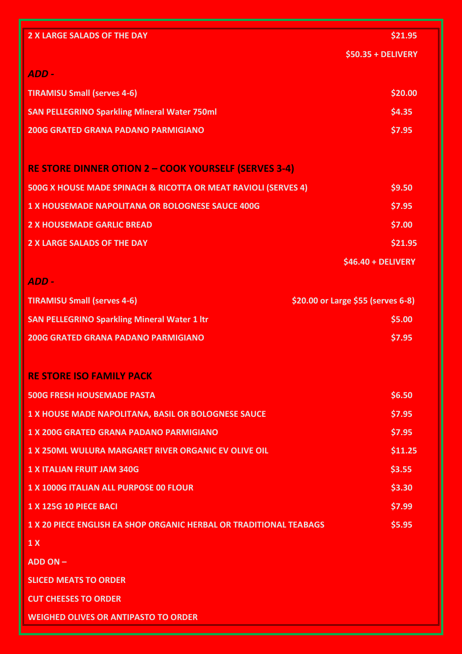| <b>2 X LARGE SALADS OF THE DAY</b>                                        | \$21.95                            |
|---------------------------------------------------------------------------|------------------------------------|
|                                                                           | \$50.35 + DELIVERY                 |
| ADD -                                                                     |                                    |
| <b>TIRAMISU Small (serves 4-6)</b>                                        | \$20.00                            |
| <b>SAN PELLEGRINO Sparkling Mineral Water 750ml</b>                       | \$4.35                             |
| <b>200G GRATED GRANA PADANO PARMIGIANO</b>                                | \$7.95                             |
|                                                                           |                                    |
| <b>RE STORE DINNER OTION 2 - COOK YOURSELF (SERVES 3-4)</b>               |                                    |
| 500G X HOUSE MADE SPINACH & RICOTTA OR MEAT RAVIOLI (SERVES 4)            | \$9.50                             |
| <b>1 X HOUSEMADE NAPOLITANA OR BOLOGNESE SAUCE 400G</b>                   | \$7.95                             |
| <b>2 X HOUSEMADE GARLIC BREAD</b>                                         | \$7.00                             |
| <b>2 X LARGE SALADS OF THE DAY</b>                                        | \$21.95                            |
|                                                                           | \$46.40 + DELIVERY                 |
| ADD -                                                                     |                                    |
| <b>TIRAMISU Small (serves 4-6)</b>                                        | \$20.00 or Large \$55 (serves 6-8) |
| <b>SAN PELLEGRINO Sparkling Mineral Water 1 ltr</b>                       | \$5.00                             |
| <b>200G GRATED GRANA PADANO PARMIGIANO</b>                                | \$7.95                             |
|                                                                           |                                    |
| <b>RE STORE ISO FAMILY PACK</b>                                           |                                    |
| <b>500G FRESH HOUSEMADE PASTA</b>                                         | \$6.50                             |
| 1 X HOUSE MADE NAPOLITANA, BASIL OR BOLOGNESE SAUCE                       | \$7.95                             |
| <b>1 X 200G GRATED GRANA PADANO PARMIGIANO</b>                            | \$7.95                             |
| <b>1 X 250ML WULURA MARGARET RIVER ORGANIC EV OLIVE OIL</b>               | \$11.25                            |
| <b>1 X ITALIAN FRUIT JAM 340G</b>                                         | \$3.55                             |
| <b>1 X 1000G ITALIAN ALL PURPOSE 00 FLOUR</b>                             | \$3.30                             |
| <b>1 X 125G 10 PIECE BACI</b>                                             | \$7.99                             |
| <b>1 X 20 PIECE ENGLISH EA SHOP ORGANIC HERBAL OR TRADITIONAL TEABAGS</b> | \$5.95                             |
| 1 <sub>X</sub>                                                            |                                    |
| ADD ON -                                                                  |                                    |
| <b>SLICED MEATS TO ORDER</b>                                              |                                    |
| <b>CUT CHEESES TO ORDER</b>                                               |                                    |
| <b>WEIGHED OLIVES OR ANTIPASTO TO ORDER</b>                               |                                    |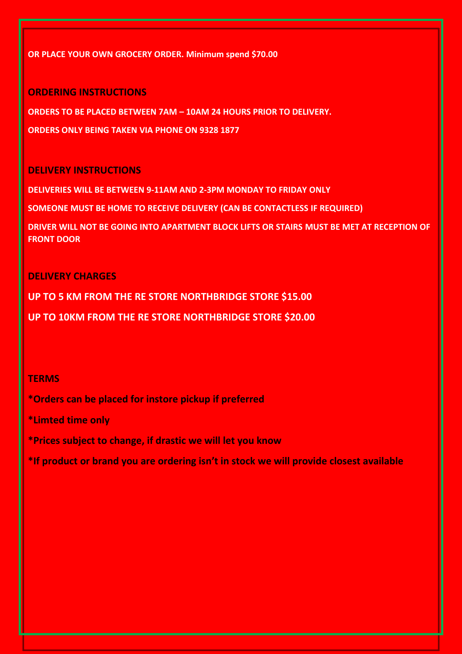#### **OR PLACE YOUR OWN GROCERY ORDER. Minimum spend \$70.00**

#### **ORDERING INSTRUCTIONS**

**ORDERS TO BE PLACED BETWEEN 7AM – 10AM 24 HOURS PRIOR TO DELIVERY.**

**ORDERS ONLY BEING TAKEN VIA PHONE ON 9328 1877**

#### **DELIVERY INSTRUCTIONS**

**DELIVERIES WILL BE BETWEEN 9-11AM AND 2-3PM MONDAY TO FRIDAY ONLY**

**SOMEONE MUST BE HOME TO RECEIVE DELIVERY (CAN BE CONTACTLESS IF REQUIRED)**

**DRIVER WILL NOT BE GOING INTO APARTMENT BLOCK LIFTS OR STAIRS MUST BE MET AT RECEPTION OF FRONT DOOR**

#### **DELIVERY CHARGES**

**UP TO 5 KM FROM THE RE STORE NORTHBRIDGE STORE \$15.00**

**UP TO 10KM FROM THE RE STORE NORTHBRIDGE STORE \$20.00**

#### **TERMS**

**\*Orders can be placed for instore pickup if preferred**

**\*Limted time only**

**\*Prices subject to change, if drastic we will let you know**

**\*If product or brand you are ordering isn't in stock we will provide closest available**